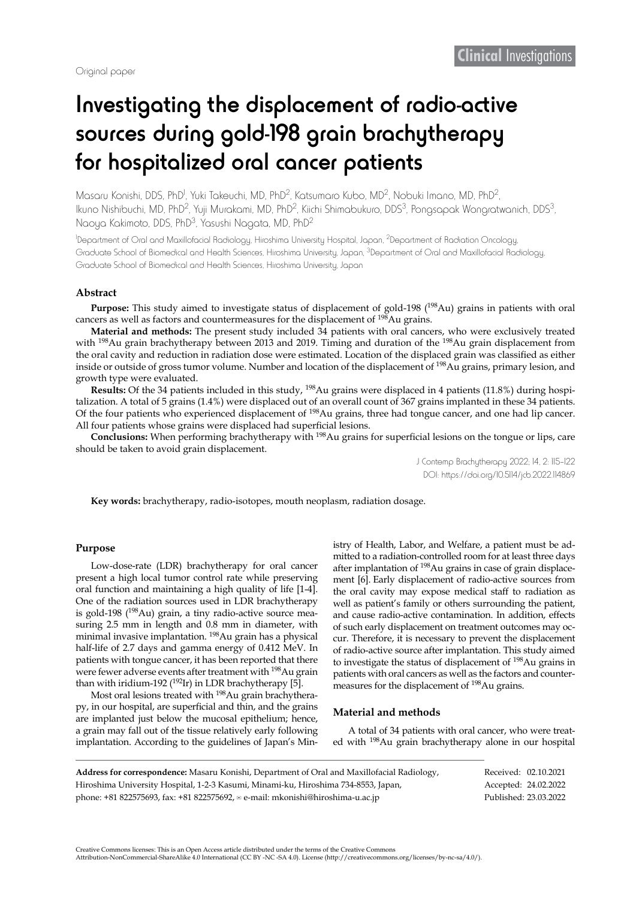# Investigating the displacement of radio-active sources during gold-198 grain brachytherapy for hospitalized oral cancer patients

Masaru Konishi, DDS, PhD<sup>I</sup>, Yuki Takeuchi, MD, PhD<sup>2</sup>, Katsumaro Kubo, MD<sup>2</sup>, Nobuki Imano, MD, PhD<sup>2</sup>, Ikuno Nishibuchi, MD, PhD<sup>2</sup>, Yuji Murakami, MD, PhD<sup>2</sup>, Kiichi Shimabukuro, DDS<sup>3</sup>, Pongsapak Wongratwanich, DDS<sup>3</sup>, Naoya Kakimoto, DDS, PhD3, Yasushi Nagata, MD, PhD2

1 Department of Oral and Maxillofacial Radiology, Hiroshima University Hospital, Japan, 2Department of Radiation Oncology, Graduate School of Biomedical and Health Sciences, Hiroshima University, Japan, <sup>3</sup>Department of Oral and Maxillofacial Radiology, Graduate School of Biomedical and Health Sciences, Hiroshima University, Japan

#### **Abstract**

**Purpose:** This study aimed to investigate status of displacement of gold-198 (<sup>198</sup>Au) grains in patients with oral cancers as well as factors and countermeasures for the displacement of <sup>198</sup>Au grains.

**Material and methods:** The present study included 34 patients with oral cancers, who were exclusively treated with 198Au grain brachytherapy between 2013 and 2019. Timing and duration of the 198Au grain displacement from the oral cavity and reduction in radiation dose were estimated. Location of the displaced grain was classified as either inside or outside of gross tumor volume. Number and location of the displacement of <sup>198</sup>Au grains, primary lesion, and growth type were evaluated.

**Results:** Of the 34 patients included in this study, 198Au grains were displaced in 4 patients (11.8%) during hospitalization. A total of 5 grains (1.4%) were displaced out of an overall count of 367 grains implanted in these 34 patients. Of the four patients who experienced displacement of 198Au grains, three had tongue cancer, and one had lip cancer. All four patients whose grains were displaced had superficial lesions.

**Conclusions:** When performing brachytherapy with <sup>198</sup>Au grains for superficial lesions on the tongue or lips, care should be taken to avoid grain displacement.

> J Contemp Brachytherapy 2022; 14, 2: 115–122 DOI: https://doi.org/10.5114/jcb.2022.114869

**Key words:** brachytherapy, radio-isotopes, mouth neoplasm, radiation dosage.

### **Purpose**

Low-dose-rate (LDR) brachytherapy for oral cancer present a high local tumor control rate while preserving oral function and maintaining a high quality of life [1-4]. One of the radiation sources used in LDR brachytherapy is gold-198 (198Au) grain, a tiny radio-active source measuring 2.5 mm in length and 0.8 mm in diameter, with minimal invasive implantation. 198Au grain has a physical half-life of 2.7 days and gamma energy of 0.412 MeV. In patients with tongue cancer, it has been reported that there were fewer adverse events after treatment with 198Au grain than with iridium-192 ( $192$ Ir) in LDR brachytherapy [5].

Most oral lesions treated with <sup>198</sup>Au grain brachytherapy, in our hospital, are superficial and thin, and the grains are implanted just below the mucosal epithelium; hence, a grain may fall out of the tissue relatively early following implantation. According to the guidelines of Japan's Ministry of Health, Labor, and Welfare, a patient must be admitted to a radiation-controlled room for at least three days after implantation of 198Au grains in case of grain displacement [6]. Early displacement of radio-active sources from the oral cavity may expose medical staff to radiation as well as patient's family or others surrounding the patient, and cause radio-active contamination. In addition, effects of such early displacement on treatment outcomes may occur. Therefore, it is necessary to prevent the displacement of radio-active source after implantation. This study aimed to investigate the status of displacement of 198Au grains in patients with oral cancers as well as the factors and countermeasures for the displacement of 198Au grains.

### **Material and methods**

A total of 34 patients with oral cancer, who were treated with 198Au grain brachytherapy alone in our hospital

| Address for correspondence: Masaru Konishi, Department of Oral and Maxillofacial Radiology, | Received: 02.10.2021  |
|---------------------------------------------------------------------------------------------|-----------------------|
| Hiroshima University Hospital, 1-2-3 Kasumi, Minami-ku, Hiroshima 734-8553, Japan,          | Accepted: 24.02.2022  |
| phone: $+81822575693$ , fax: $+81822575692$ , $\equiv$ e-mail: mkonishi@hiroshima-u.ac.jp   | Published: 23.03.2022 |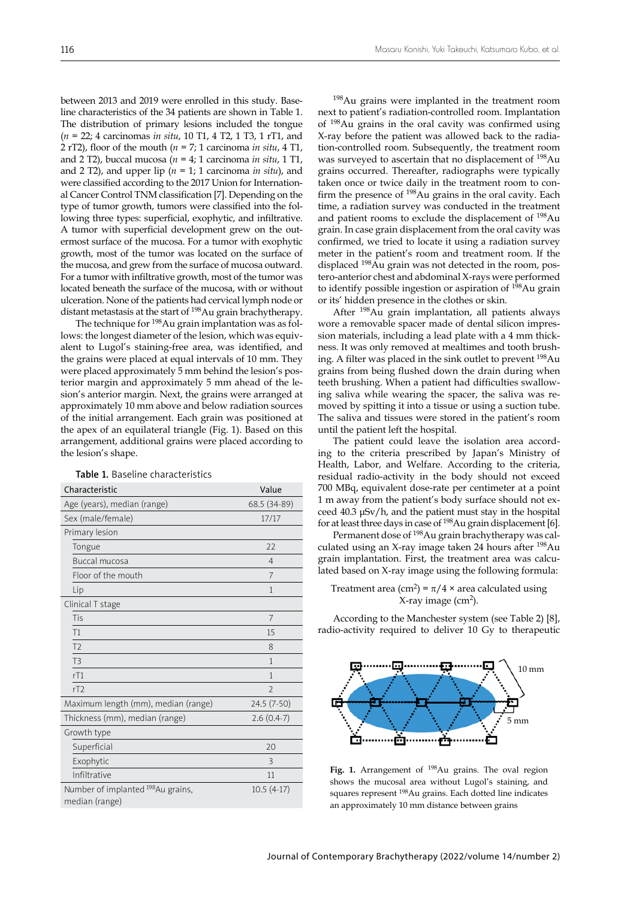between 2013 and 2019 were enrolled in this study. Baseline characteristics of the 34 patients are shown in Table 1. The distribution of primary lesions included the tongue (*n* = 22; 4 carcinomas *in situ*, 10 T1, 4 T2, 1 T3, 1 rT1, and 2 rT2), floor of the mouth (*n* = 7; 1 carcinoma *in situ*, 4 T1, and 2 T2), buccal mucosa (*n* = 4; 1 carcinoma *in situ*, 1 T1, and 2 T2), and upper lip (*n* = 1; 1 carcinoma *in situ*), and were classified according to the 2017 Union for International Cancer Control TNM classification [7]. Depending on the type of tumor growth, tumors were classified into the following three types: superficial, exophytic, and infiltrative. A tumor with superficial development grew on the outermost surface of the mucosa. For a tumor with exophytic growth, most of the tumor was located on the surface of the mucosa, and grew from the surface of mucosa outward. For a tumor with infiltrative growth, most of the tumor was located beneath the surface of the mucosa, with or without ulceration. None of the patients had cervical lymph node or distant metastasis at the start of 198Au grain brachytherapy.

The technique for 198Au grain implantation was as follows: the longest diameter of the lesion, which was equivalent to Lugol's staining-free area, was identified, and the grains were placed at equal intervals of 10 mm. They were placed approximately 5 mm behind the lesion's posterior margin and approximately 5 mm ahead of the lesion's anterior margin. Next, the grains were arranged at approximately 10 mm above and below radiation sources of the initial arrangement. Each grain was positioned at the apex of an equilateral triangle (Fig. 1). Based on this arrangement, additional grains were placed according to the lesion's shape.

| Characteristic                                       | Value          |
|------------------------------------------------------|----------------|
| Age (years), median (range)                          | 68.5 (34-89)   |
| Sex (male/female)                                    | 17/17          |
| Primary lesion                                       |                |
| Tongue                                               | 22             |
| Buccal mucosa                                        | $\overline{4}$ |
| Floor of the mouth                                   | 7              |
| Lip                                                  | 1              |
| Clinical T stage                                     |                |
| Tis                                                  | 7              |
| T1                                                   | 15             |
| T <sub>2</sub>                                       | 8              |
| T <sub>3</sub>                                       | 1              |
| rT1                                                  | $\mathbf{1}$   |
| rT2                                                  | $\mathfrak{D}$ |
| Maximum length (mm), median (range)                  | 24.5 (7-50)    |
| Thickness (mm), median (range)                       | $2.6(0.4-7)$   |
| Growth type                                          |                |
| Superficial                                          | 20             |
| Exophytic                                            | 3              |
| Infiltrative                                         | 11             |
| Number of implanted 198 Au grains,<br>median (range) | $10.5(4-17)$   |

Table 1. Baseline characteristics

198Au grains were implanted in the treatment room next to patient's radiation-controlled room. Implantation of 198Au grains in the oral cavity was confirmed using X-ray before the patient was allowed back to the radiation-controlled room. Subsequently, the treatment room was surveyed to ascertain that no displacement of 198Au grains occurred. Thereafter, radiographs were typically taken once or twice daily in the treatment room to confirm the presence of 198Au grains in the oral cavity. Each time, a radiation survey was conducted in the treatment and patient rooms to exclude the displacement of 198Au grain. In case grain displacement from the oral cavity was confirmed, we tried to locate it using a radiation survey meter in the patient's room and treatment room. If the displaced 198Au grain was not detected in the room, postero-anterior chest and abdominal X-rays were performed to identify possible ingestion or aspiration of <sup>198</sup>Au grain or its' hidden presence in the clothes or skin.

After 198Au grain implantation, all patients always wore a removable spacer made of dental silicon impression materials, including a lead plate with a 4 mm thickness. It was only removed at mealtimes and tooth brushing. A filter was placed in the sink outlet to prevent 198Au grains from being flushed down the drain during when teeth brushing. When a patient had difficulties swallowing saliva while wearing the spacer, the saliva was removed by spitting it into a tissue or using a suction tube. The saliva and tissues were stored in the patient's room until the patient left the hospital.

The patient could leave the isolation area according to the criteria prescribed by Japan's Ministry of Health, Labor, and Welfare. According to the criteria, residual radio-activity in the body should not exceed 700 MBq, equivalent dose-rate per centimeter at a point 1 m away from the patient's body surface should not exceed 40.3 μSv/h, and the patient must stay in the hospital for at least three days in case of 198Au grain displacement [6].

Permanent dose of 198Au grain brachytherapy was calculated using an X-ray image taken 24 hours after 198Au grain implantation. First, the treatment area was calculated based on X-ray image using the following formula:

## Treatment area (cm<sup>2</sup>) =  $\pi/4 \times$  area calculated using  $X$ -ray image (cm<sup>2</sup>).

According to the Manchester system (see Table 2) [8], radio-activity required to deliver 10 Gy to therapeutic



Fig. 1. Arrangement of <sup>198</sup>Au grains. The oval region shows the mucosal area without Lugol's staining, and squares represent 198Au grains. Each dotted line indicates an approximately 10 mm distance between grains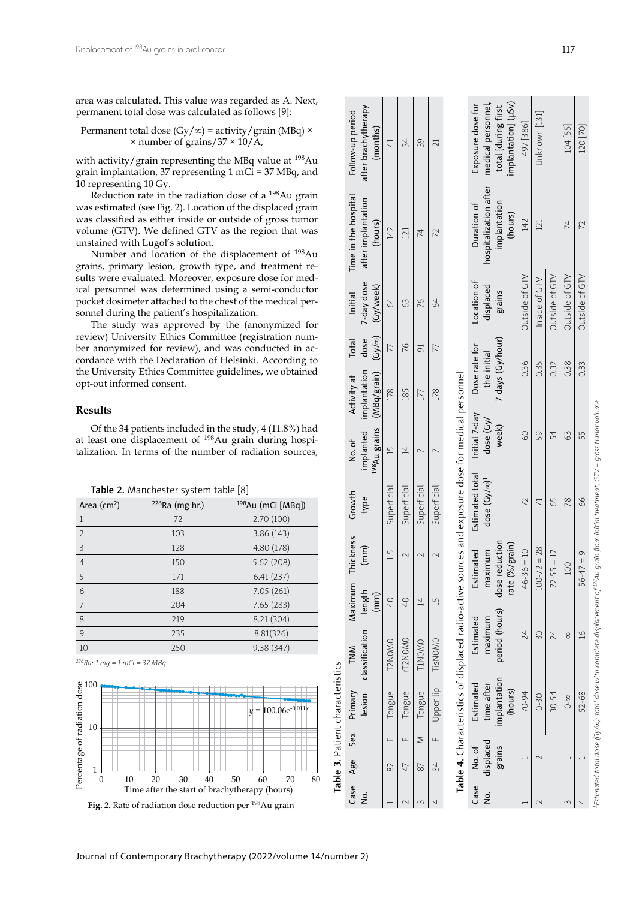area was calculated. This value was regarded as A. Next, permanent total dose was calculated as follows [9]:

Permanent total dose (Gy/∞) = activity/grain (MBq) × × number of grains/37 × 10/A,

with activity/grain representing the MBq value at  $198Au$ grain implantation, 37 representing 1 mCi = 37 MBq, and 10 representing 10 Gy.

Reduction rate in the radiation dose of a 198Au grain was estimated (see Fig. 2). Location of the displaced grain was classified as either inside or outside of gross tumor volume (GTV). We defined GTV as the region that was unstained with Lugol's solution.

Number and location of the displacement of 198Au grains, primary lesion, growth type, and treatment re sults were evaluated. Moreover, exposure dose for med ical personnel was determined using a semi-conductor pocket dosimeter attached to the chest of the medical per sonnel during the patient's hospitalization.

The study was approved by the (anonymized for review) University Ethics Committee (registration num ber anonymized for review), and was conducted in ac cordance with the Declaration of Helsinki. According to the University Ethics Committee guidelines, we obtained opt-out informed consent.

### **Results**

Of the 34 patients included in the study, 4 (11.8%) had at least one displacement of <sup>198</sup>Au grain during hospitalization. In terms of the number of radiation sources,

Area (cm<sup>2</sup>)  $226$ Ra (mg hr.)  $198$ Au (mCi [MBq]) 1 72 2.70 (100) 2 103 3.86 (143) 3 128 4.80 (178) 4 150 5.62 (208) 5 171 6.41 (237) 6 188 7.05 (261) 7 204 7.65 (283) 8 219 8.21 (304) 9 235 8.81(326) 10 250 9.38 (347)

| Table 2. Manchester system table [8] |  |  |  |
|--------------------------------------|--|--|--|
|--------------------------------------|--|--|--|





*1Estimated total dose (Gy/*∞*): total dose with complete displacement of 198Au grain from initial treatment, GTV – gross tumor volume* 

Estimated total dose (Gy/∞): total dose with complete displacement of <sup>198</sup>Au arain from initial treatment, GTV – aross tumor volume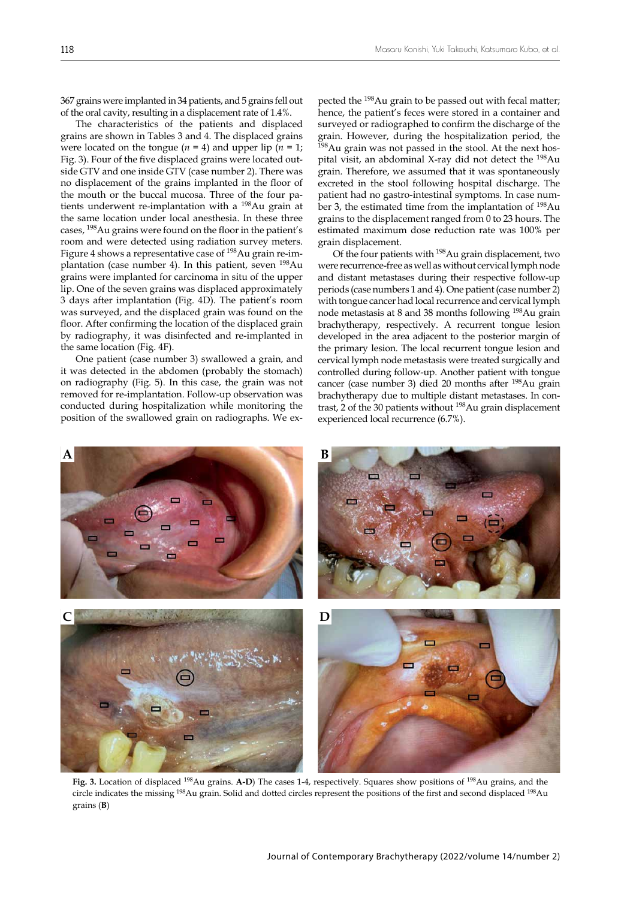367 grains were implanted in 34 patients, and 5 grains fell out of the oral cavity, resulting in a displacement rate of 1.4%.

The characteristics of the patients and displaced grains are shown in Tables 3 and 4. The displaced grains were located on the tongue ( $n = 4$ ) and upper lip ( $n = 1$ ; Fig. 3). Four of the five displaced grains were located outside GTV and one inside GTV (case number 2). There was no displacement of the grains implanted in the floor of the mouth or the buccal mucosa. Three of the four patients underwent re-implantation with a 198Au grain at the same location under local anesthesia. In these three cases, 198Au grains were found on the floor in the patient's room and were detected using radiation survey meters. Figure 4 shows a representative case of <sup>198</sup>Au grain re-implantation (case number 4). In this patient, seven 198Au grains were implanted for carcinoma in situ of the upper lip. One of the seven grains was displaced approximately 3 days after implantation (Fig. 4D). The patient's room was surveyed, and the displaced grain was found on the floor. After confirming the location of the displaced grain by radiography, it was disinfected and re-implanted in the same location (Fig. 4F).

One patient (case number 3) swallowed a grain, and it was detected in the abdomen (probably the stomach) on radiography (Fig. 5). In this case, the grain was not removed for re-implantation. Follow-up observation was conducted during hospitalization while monitoring the position of the swallowed grain on radiographs. We expected the 198Au grain to be passed out with fecal matter; hence, the patient's feces were stored in a container and surveyed or radiographed to confirm the discharge of the grain. However, during the hospitalization period, the  $198$ Au grain was not passed in the stool. At the next hospital visit, an abdominal X-ray did not detect the 198Au grain. Therefore, we assumed that it was spontaneously excreted in the stool following hospital discharge. The patient had no gastro-intestinal symptoms. In case number 3, the estimated time from the implantation of 198Au grains to the displacement ranged from 0 to 23 hours. The estimated maximum dose reduction rate was 100% per grain displacement.

Of the four patients with 198Au grain displacement, two were recurrence-free as well as without cervical lymph node and distant metastases during their respective follow-up periods (case numbers 1 and 4). One patient (case number 2) with tongue cancer had local recurrence and cervical lymph node metastasis at 8 and 38 months following 198Au grain brachytherapy, respectively. A recurrent tongue lesion developed in the area adjacent to the posterior margin of the primary lesion. The local recurrent tongue lesion and cervical lymph node metastasis were treated surgically and controlled during follow-up. Another patient with tongue cancer (case number 3) died 20 months after 198Au grain brachytherapy due to multiple distant metastases. In contrast, 2 of the 30 patients without 198Au grain displacement experienced local recurrence (6.7%).



**Fig. 3.** Location of displaced 198Au grains. **A-D**) The cases 1-4, respectively. Squares show positions of 198Au grains, and the circle indicates the missing <sup>198</sup>Au grain. Solid and dotted circles represent the positions of the first and second displaced <sup>198</sup>Au grains (**B**)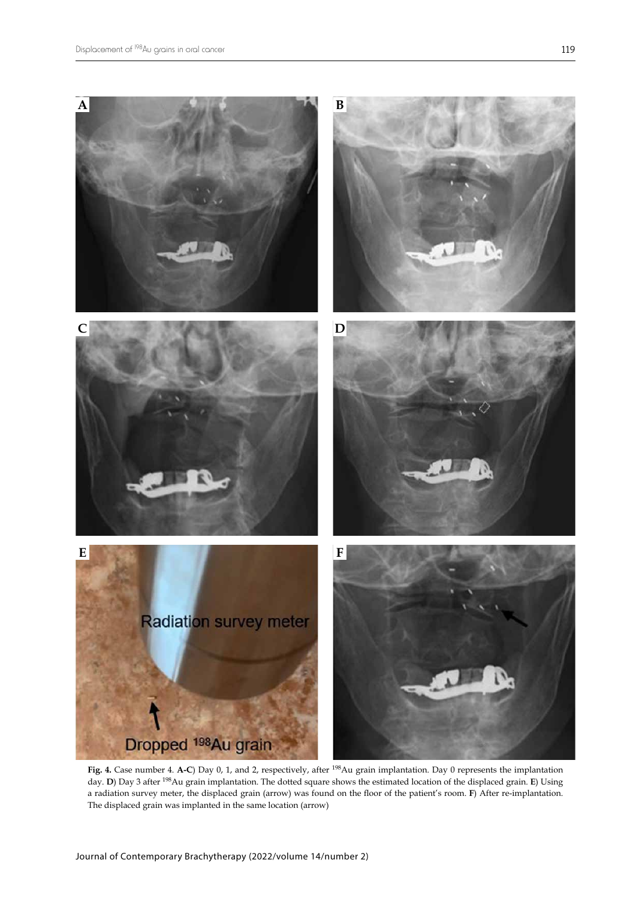

**Fig. 4.** Case number 4. **A-C**) Day 0, 1, and 2, respectively, after 198Au grain implantation. Day 0 represents the implantation day. **D**) Day 3 after 198Au grain implantation. The dotted square shows the estimated location of the displaced grain. **E**) Using a radiation survey meter, the displaced grain (arrow) was found on the floor of the patient's room. **F**) After re-implantation. The displaced grain was implanted in the same location (arrow)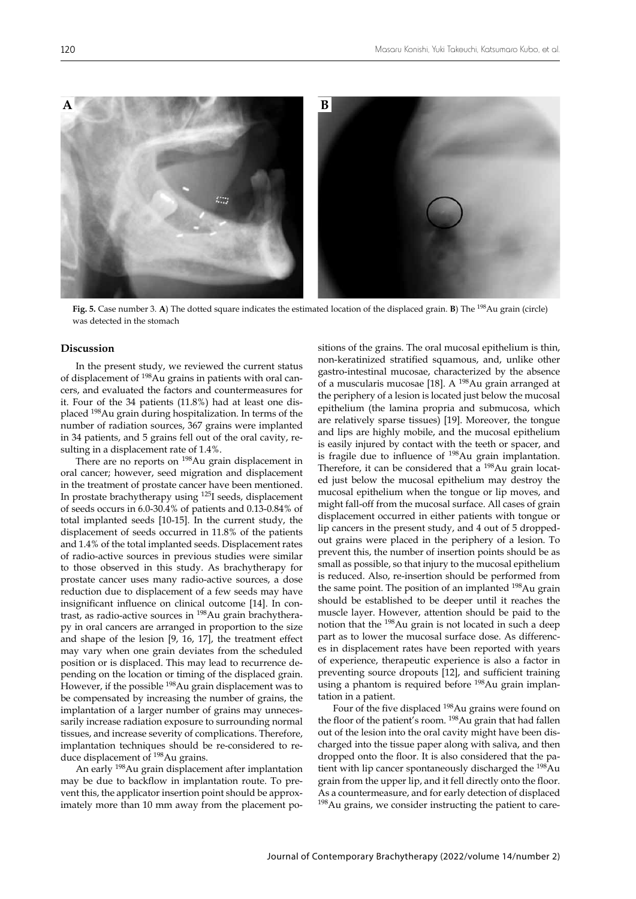

**Fig. 5.** Case number 3. **A**) The dotted square indicates the estimated location of the displaced grain. **B**) The 198Au grain (circle) was detected in the stomach

### **Discussion**

In the present study, we reviewed the current status of displacement of 198Au grains in patients with oral cancers, and evaluated the factors and countermeasures for it. Four of the 34 patients (11.8%) had at least one displaced 198Au grain during hospitalization. In terms of the number of radiation sources, 367 grains were implanted in 34 patients, and 5 grains fell out of the oral cavity, resulting in a displacement rate of 1.4%.

There are no reports on <sup>198</sup>Au grain displacement in oral cancer; however, seed migration and displacement in the treatment of prostate cancer have been mentioned. In prostate brachytherapy using 125I seeds, displacement of seeds occurs in 6.0-30.4% of patients and 0.13-0.84% of total implanted seeds [10-15]. In the current study, the displacement of seeds occurred in 11.8% of the patients and 1.4% of the total implanted seeds. Displacement rates of radio-active sources in previous studies were similar to those observed in this study. As brachytherapy for prostate cancer uses many radio-active sources, a dose reduction due to displacement of a few seeds may have insignificant influence on clinical outcome [14]. In contrast, as radio-active sources in 198Au grain brachytherapy in oral cancers are arranged in proportion to the size and shape of the lesion [9, 16, 17], the treatment effect may vary when one grain deviates from the scheduled position or is displaced. This may lead to recurrence depending on the location or timing of the displaced grain. However, if the possible <sup>198</sup>Au grain displacement was to be compensated by increasing the number of grains, the implantation of a larger number of grains may unnecessarily increase radiation exposure to surrounding normal tissues, and increase severity of complications. Therefore, implantation techniques should be re-considered to reduce displacement of 198Au grains.

An early 198Au grain displacement after implantation may be due to backflow in implantation route. To prevent this, the applicator insertion point should be approximately more than 10 mm away from the placement positions of the grains. The oral mucosal epithelium is thin, non-keratinized stratified squamous, and, unlike other gastro-intestinal mucosae, characterized by the absence of a muscularis mucosae [18]. A 198Au grain arranged at the periphery of a lesion is located just below the mucosal epithelium (the lamina propria and submucosa, which are relatively sparse tissues) [19]. Moreover, the tongue and lips are highly mobile, and the mucosal epithelium is easily injured by contact with the teeth or spacer, and is fragile due to influence of 198Au grain implantation. Therefore, it can be considered that a <sup>198</sup>Au grain located just below the mucosal epithelium may destroy the mucosal epithelium when the tongue or lip moves, and might fall-off from the mucosal surface. All cases of grain displacement occurred in either patients with tongue or lip cancers in the present study, and 4 out of 5 droppedout grains were placed in the periphery of a lesion. To prevent this, the number of insertion points should be as small as possible, so that injury to the mucosal epithelium is reduced. Also, re-insertion should be performed from the same point. The position of an implanted <sup>198</sup>Au grain should be established to be deeper until it reaches the muscle layer. However, attention should be paid to the notion that the 198Au grain is not located in such a deep part as to lower the mucosal surface dose. As differences in displacement rates have been reported with years of experience, therapeutic experience is also a factor in preventing source dropouts [12], and sufficient training using a phantom is required before 198Au grain implantation in a patient.

Four of the five displaced 198Au grains were found on the floor of the patient's room. <sup>198</sup>Au grain that had fallen out of the lesion into the oral cavity might have been discharged into the tissue paper along with saliva, and then dropped onto the floor. It is also considered that the patient with lip cancer spontaneously discharged the 198Au grain from the upper lip, and it fell directly onto the floor. As a countermeasure, and for early detection of displaced <sup>198</sup>Au grains, we consider instructing the patient to care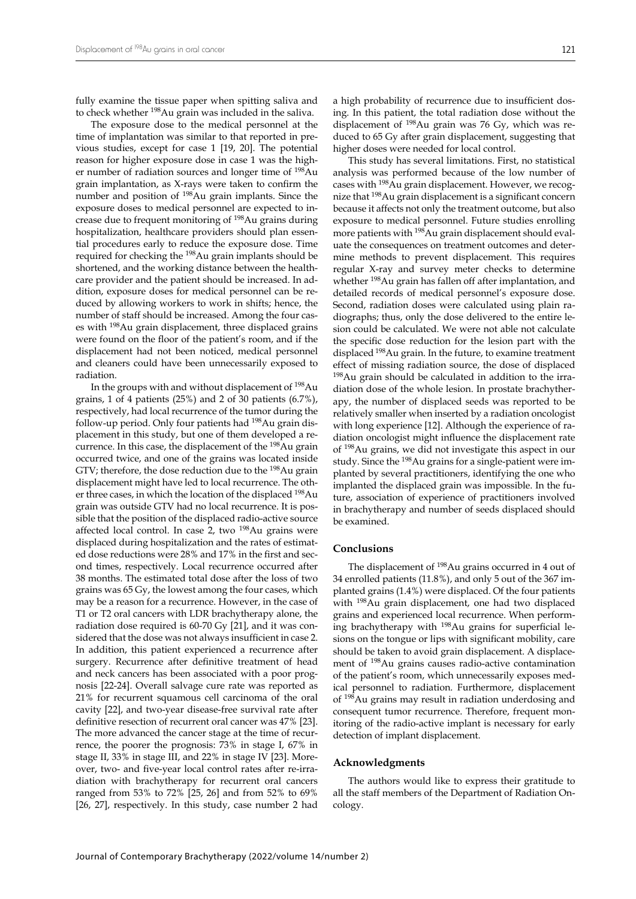fully examine the tissue paper when spitting saliva and to check whether 198Au grain was included in the saliva.

The exposure dose to the medical personnel at the time of implantation was similar to that reported in previous studies, except for case 1 [19, 20]. The potential reason for higher exposure dose in case 1 was the higher number of radiation sources and longer time of 198Au grain implantation, as X-rays were taken to confirm the number and position of 198Au grain implants. Since the exposure doses to medical personnel are expected to increase due to frequent monitoring of 198Au grains during hospitalization, healthcare providers should plan essential procedures early to reduce the exposure dose. Time required for checking the 198Au grain implants should be shortened, and the working distance between the healthcare provider and the patient should be increased. In addition, exposure doses for medical personnel can be reduced by allowing workers to work in shifts; hence, the number of staff should be increased. Among the four cases with 198Au grain displacement, three displaced grains were found on the floor of the patient's room, and if the displacement had not been noticed, medical personnel and cleaners could have been unnecessarily exposed to radiation.

In the groups with and without displacement of <sup>198</sup>Au grains, 1 of 4 patients (25%) and 2 of 30 patients (6.7%), respectively, had local recurrence of the tumor during the follow-up period. Only four patients had 198Au grain displacement in this study, but one of them developed a recurrence. In this case, the displacement of the 198Au grain occurred twice, and one of the grains was located inside GTV; therefore, the dose reduction due to the 198Au grain displacement might have led to local recurrence. The other three cases, in which the location of the displaced 198Au grain was outside GTV had no local recurrence. It is possible that the position of the displaced radio-active source affected local control. In case 2, two 198Au grains were displaced during hospitalization and the rates of estimated dose reductions were 28% and 17% in the first and second times, respectively. Local recurrence occurred after 38 months. The estimated total dose after the loss of two grains was 65 Gy, the lowest among the four cases, which may be a reason for a recurrence. However, in the case of T1 or T2 oral cancers with LDR brachytherapy alone, the radiation dose required is 60-70 Gy [21], and it was considered that the dose was not always insufficient in case 2. In addition, this patient experienced a recurrence after surgery. Recurrence after definitive treatment of head and neck cancers has been associated with a poor prognosis [22-24]. Overall salvage cure rate was reported as 21% for recurrent squamous cell carcinoma of the oral cavity [22], and two-year disease-free survival rate after definitive resection of recurrent oral cancer was 47% [23]. The more advanced the cancer stage at the time of recurrence, the poorer the prognosis: 73% in stage I, 67% in stage II, 33% in stage III, and 22% in stage IV [23]. Moreover, two- and five-year local control rates after re-irradiation with brachytherapy for recurrent oral cancers ranged from 53% to 72% [25, 26] and from 52% to 69% [26, 27], respectively. In this study, case number 2 had

a high probability of recurrence due to insufficient dosing. In this patient, the total radiation dose without the displacement of 198Au grain was 76 Gy, which was reduced to 65 Gy after grain displacement, suggesting that higher doses were needed for local control.

This study has several limitations. First, no statistical analysis was performed because of the low number of cases with 198Au grain displacement. However, we recognize that 198Au grain displacement is a significant concern because it affects not only the treatment outcome, but also exposure to medical personnel. Future studies enrolling more patients with <sup>198</sup>Au grain displacement should evaluate the consequences on treatment outcomes and determine methods to prevent displacement. This requires regular X-ray and survey meter checks to determine whether <sup>198</sup>Au grain has fallen off after implantation, and detailed records of medical personnel's exposure dose. Second, radiation doses were calculated using plain radiographs; thus, only the dose delivered to the entire lesion could be calculated. We were not able not calculate the specific dose reduction for the lesion part with the displaced 198Au grain. In the future, to examine treatment effect of missing radiation source, the dose of displaced 198Au grain should be calculated in addition to the irradiation dose of the whole lesion. In prostate brachytherapy, the number of displaced seeds was reported to be relatively smaller when inserted by a radiation oncologist with long experience [12]. Although the experience of radiation oncologist might influence the displacement rate of 198Au grains, we did not investigate this aspect in our study. Since the 198Au grains for a single-patient were implanted by several practitioners, identifying the one who implanted the displaced grain was impossible. In the future, association of experience of practitioners involved in brachytherapy and number of seeds displaced should be examined.

### **Conclusions**

The displacement of 198Au grains occurred in 4 out of 34 enrolled patients (11.8%), and only 5 out of the 367 implanted grains (1.4%) were displaced. Of the four patients with 198Au grain displacement, one had two displaced grains and experienced local recurrence. When performing brachytherapy with <sup>198</sup>Au grains for superficial lesions on the tongue or lips with significant mobility, care should be taken to avoid grain displacement. A displacement of 198Au grains causes radio-active contamination of the patient's room, which unnecessarily exposes medical personnel to radiation. Furthermore, displacement of 198Au grains may result in radiation underdosing and consequent tumor recurrence. Therefore, frequent monitoring of the radio-active implant is necessary for early detection of implant displacement.

#### **Acknowledgments**

The authors would like to express their gratitude to all the staff members of the Department of Radiation Oncology.